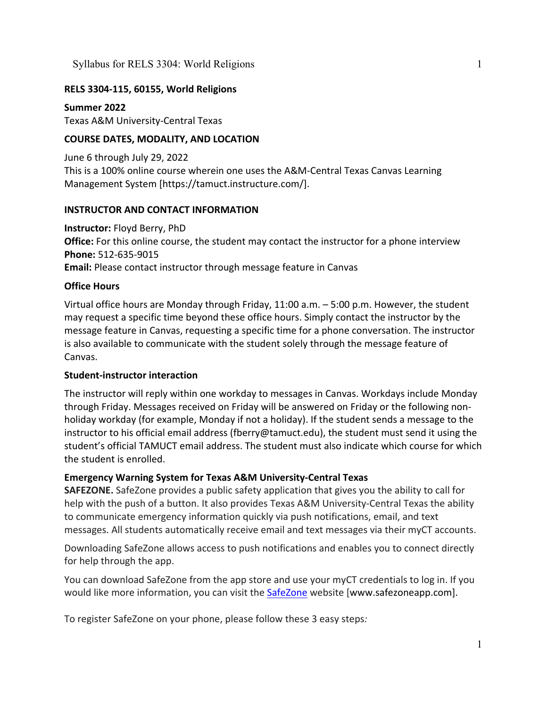## **RELS 3304-115, 60155, World Religions**

**Summer 2022** Texas A&M University-Central Texas

## **COURSE DATES, MODALITY, AND LOCATION**

June 6 through July 29, 2022 This is a 100% online course wherein one uses the A&M-Central Texas Canvas Learning Management System [https://tamuct.instructure.com/].

## **INSTRUCTOR AND CONTACT INFORMATION**

**Instructor:** Floyd Berry, PhD **Office:** For this online course, the student may contact the instructor for a phone interview **Phone:** 512-635-9015 **Email:** Please contact instructor through message feature in Canvas

## **Office Hours**

Virtual office hours are Monday through Friday, 11:00 a.m. – 5:00 p.m. However, the student may request a specific time beyond these office hours. Simply contact the instructor by the message feature in Canvas, requesting a specific time for a phone conversation. The instructor is also available to communicate with the student solely through the message feature of Canvas.

## **Student-instructor interaction**

The instructor will reply within one workday to messages in Canvas. Workdays include Monday through Friday. Messages received on Friday will be answered on Friday or the following nonholiday workday (for example, Monday if not a holiday). If the student sends a message to the instructor to his official email address (fberry@tamuct.edu), the student must send it using the student's official TAMUCT email address. The student must also indicate which course for which the student is enrolled.

## **Emergency Warning System for Texas A&M University-Central Texas**

**SAFEZONE.** SafeZone provides a public safety application that gives you the ability to call for help with the push of a button. It also provides Texas A&M University-Central Texas the ability to communicate emergency information quickly via push notifications, email, and text messages. All students automatically receive email and text messages via their myCT accounts.

Downloading SafeZone allows access to push notifications and enables you to connect directly for help through the app.

You can download SafeZone from the app store and use your myCT credentials to log in. If you would like more information, you can visit the [SafeZone](http://www.safezoneapp.com/) website [www.safezoneapp.com].

To register SafeZone on your phone, please follow these 3 easy steps*:*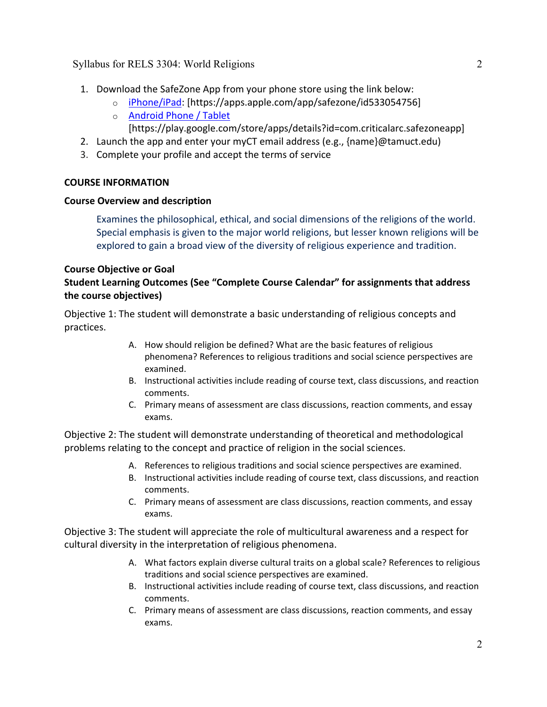- 1. Download the SafeZone App from your phone store using the link below:
	- o [iPhone/iPad:](https://apps.apple.com/app/safezone/id533054756) [https://apps.apple.com/app/safezone/id533054756]
	- o [Android Phone / Tablet](https://play.google.com/store/apps/details?id=com.criticalarc.safezoneapp) [https://play.google.com/store/apps/details?id=com.criticalarc.safezoneapp]
- 2. Launch the app and enter your myCT email address (e.g., {name}@tamuct.edu)
- 3. Complete your profile and accept the terms of service

### **COURSE INFORMATION**

### **Course Overview and description**

Examines the philosophical, ethical, and social dimensions of the religions of the world. Special emphasis is given to the major world religions, but lesser known religions will be explored to gain a broad view of the diversity of religious experience and tradition.

## **Course Objective or Goal**

## **Student Learning Outcomes (See "Complete Course Calendar" for assignments that address the course objectives)**

Objective 1: The student will demonstrate a basic understanding of religious concepts and practices.

- A. How should religion be defined? What are the basic features of religious phenomena? References to religious traditions and social science perspectives are examined.
- B. Instructional activities include reading of course text, class discussions, and reaction comments.
- C. Primary means of assessment are class discussions, reaction comments, and essay exams.

Objective 2: The student will demonstrate understanding of theoretical and methodological problems relating to the concept and practice of religion in the social sciences.

- A. References to religious traditions and social science perspectives are examined.
- B. Instructional activities include reading of course text, class discussions, and reaction comments.
- C. Primary means of assessment are class discussions, reaction comments, and essay exams.

Objective 3: The student will appreciate the role of multicultural awareness and a respect for cultural diversity in the interpretation of religious phenomena.

- A. What factors explain diverse cultural traits on a global scale? References to religious traditions and social science perspectives are examined.
- B. Instructional activities include reading of course text, class discussions, and reaction comments.
- C. Primary means of assessment are class discussions, reaction comments, and essay exams.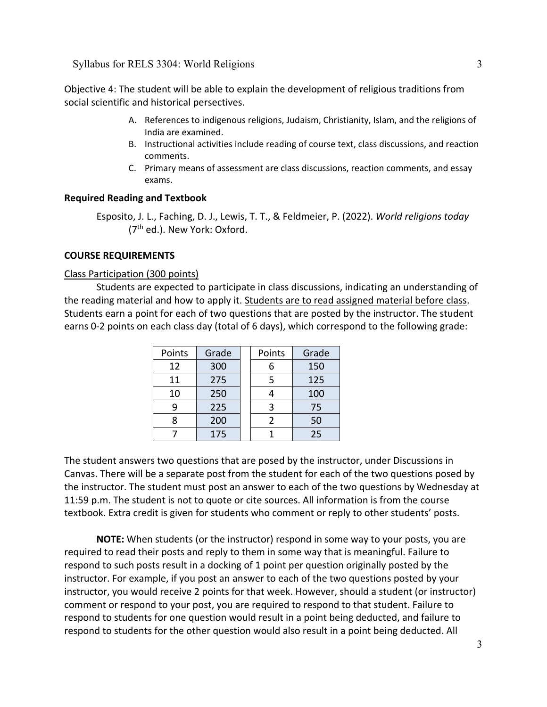Objective 4: The student will be able to explain the development of religious traditions from social scientific and historical persectives.

- A. References to indigenous religions, Judaism, Christianity, Islam, and the religions of India are examined.
- B. Instructional activities include reading of course text, class discussions, and reaction comments.
- C. Primary means of assessment are class discussions, reaction comments, and essay exams.

### **Required Reading and Textbook**

Esposito, J. L., Faching, D. J., Lewis, T. T., & Feldmeier, P. (2022). *World religions today*  (7th ed.). New York: Oxford.

### **COURSE REQUIREMENTS**

### Class Participation (300 points)

Students are expected to participate in class discussions, indicating an understanding of the reading material and how to apply it. Students are to read assigned material before class. Students earn a point for each of two questions that are posted by the instructor. The student earns 0-2 points on each class day (total of 6 days), which correspond to the following grade:

| Points | Grade | Points | Grade |
|--------|-------|--------|-------|
| 12     | 300   |        | 150   |
| 11     | 275   |        | 125   |
| 10     | 250   |        | 100   |
| q      | 225   |        | 75    |
| R      | 200   |        | 50    |
|        | 175   |        | 25    |

The student answers two questions that are posed by the instructor, under Discussions in Canvas. There will be a separate post from the student for each of the two questions posed by the instructor. The student must post an answer to each of the two questions by Wednesday at 11:59 p.m. The student is not to quote or cite sources. All information is from the course textbook. Extra credit is given for students who comment or reply to other students' posts.

**NOTE:** When students (or the instructor) respond in some way to your posts, you are required to read their posts and reply to them in some way that is meaningful. Failure to respond to such posts result in a docking of 1 point per question originally posted by the instructor. For example, if you post an answer to each of the two questions posted by your instructor, you would receive 2 points for that week. However, should a student (or instructor) comment or respond to your post, you are required to respond to that student. Failure to respond to students for one question would result in a point being deducted, and failure to respond to students for the other question would also result in a point being deducted. All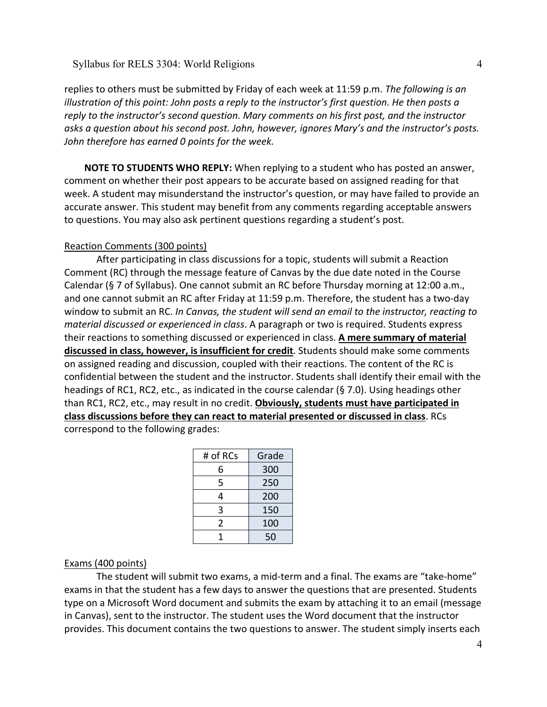replies to others must be submitted by Friday of each week at 11:59 p.m. *The following is an illustration of this point: John posts a reply to the instructor's first question. He then posts a reply to the instructor's second question. Mary comments on his first post, and the instructor asks a question about his second post. John, however, ignores Mary's and the instructor's posts. John therefore has earned 0 points for the week.*

**NOTE TO STUDENTS WHO REPLY:** When replying to a student who has posted an answer, comment on whether their post appears to be accurate based on assigned reading for that week. A student may misunderstand the instructor's question, or may have failed to provide an accurate answer. This student may benefit from any comments regarding acceptable answers to questions. You may also ask pertinent questions regarding a student's post.

### Reaction Comments (300 points)

After participating in class discussions for a topic, students will submit a Reaction Comment (RC) through the message feature of Canvas by the due date noted in the Course Calendar (§ 7 of Syllabus). One cannot submit an RC before Thursday morning at 12:00 a.m., and one cannot submit an RC after Friday at 11:59 p.m. Therefore, the student has a two-day window to submit an RC. *In Canvas, the student will send an email to the instructor, reacting to material discussed or experienced in class*. A paragraph or two is required. Students express their reactions to something discussed or experienced in class. **A mere summary of material discussed in class, however, is insufficient for credit**. Students should make some comments on assigned reading and discussion, coupled with their reactions. The content of the RC is confidential between the student and the instructor. Students shall identify their email with the headings of RC1, RC2, etc., as indicated in the course calendar (§ 7.0). Using headings other than RC1, RC2, etc., may result in no credit. **Obviously, students must have participated in class discussions before they can react to material presented or discussed in class**. RCs correspond to the following grades:

| # of RCs | Grade |
|----------|-------|
| 6        | 300   |
| 5        | 250   |
| 4        | 200   |
| 3        | 150   |
| 2        | 100   |
|          | 50    |

### Exams (400 points)

The student will submit two exams, a mid-term and a final. The exams are "take-home" exams in that the student has a few days to answer the questions that are presented. Students type on a Microsoft Word document and submits the exam by attaching it to an email (message in Canvas), sent to the instructor. The student uses the Word document that the instructor provides. This document contains the two questions to answer. The student simply inserts each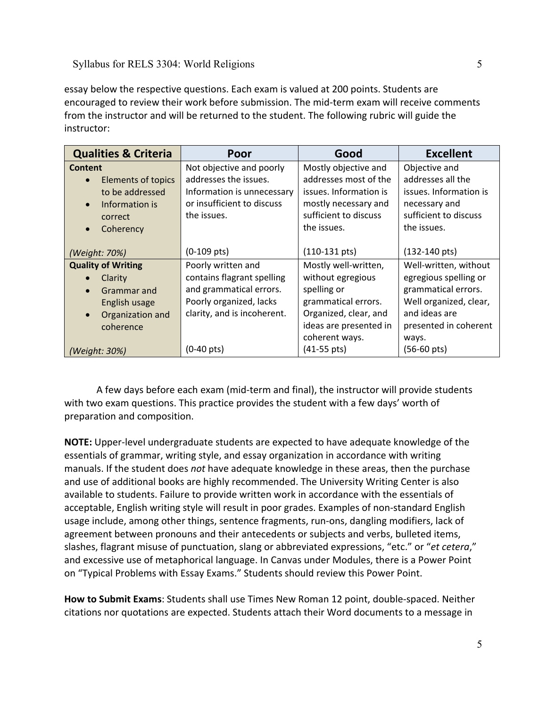essay below the respective questions. Each exam is valued at 200 points. Students are encouraged to review their work before submission. The mid-term exam will receive comments from the instructor and will be returned to the student. The following rubric will guide the instructor:

| <b>Qualities &amp; Criteria</b> | Poor                        | Good                    | <b>Excellent</b>        |
|---------------------------------|-----------------------------|-------------------------|-------------------------|
| Content                         | Not objective and poorly    | Mostly objective and    | Objective and           |
| <b>Elements of topics</b>       | addresses the issues.       | addresses most of the   | addresses all the       |
| to be addressed                 | Information is unnecessary  | issues. Information is  | issues. Information is  |
| Information is                  | or insufficient to discuss  | mostly necessary and    | necessary and           |
| correct                         | the issues.                 | sufficient to discuss   | sufficient to discuss   |
| Coherency<br>$\bullet$          |                             | the issues.             | the issues.             |
|                                 |                             |                         |                         |
| (Weight: 70%)                   | $(0-109 \text{ pts})$       | $(110-131 \text{ pts})$ | $(132-140 \text{ pts})$ |
| <b>Quality of Writing</b>       | Poorly written and          | Mostly well-written,    | Well-written, without   |
| Clarity                         | contains flagrant spelling  | without egregious       | egregious spelling or   |
| Grammar and                     | and grammatical errors.     | spelling or             | grammatical errors.     |
| English usage                   | Poorly organized, lacks     | grammatical errors.     | Well organized, clear,  |
| Organization and<br>$\bullet$   | clarity, and is incoherent. | Organized, clear, and   | and ideas are           |
| coherence                       |                             | ideas are presented in  | presented in coherent   |
|                                 |                             | coherent ways.          | ways.                   |
| (Weight: 30%)                   | $(0-40 \text{ pts})$        | $(41-55 \text{ pts})$   | $(56-60 \text{ pts})$   |

A few days before each exam (mid-term and final), the instructor will provide students with two exam questions. This practice provides the student with a few days' worth of preparation and composition.

**NOTE:** Upper-level undergraduate students are expected to have adequate knowledge of the essentials of grammar, writing style, and essay organization in accordance with writing manuals. If the student does *not* have adequate knowledge in these areas, then the purchase and use of additional books are highly recommended. The University Writing Center is also available to students. Failure to provide written work in accordance with the essentials of acceptable, English writing style will result in poor grades. Examples of non-standard English usage include, among other things, sentence fragments, run-ons, dangling modifiers, lack of agreement between pronouns and their antecedents or subjects and verbs, bulleted items, slashes, flagrant misuse of punctuation, slang or abbreviated expressions, "etc." or "*et cetera*," and excessive use of metaphorical language. In Canvas under Modules, there is a Power Point on "Typical Problems with Essay Exams." Students should review this Power Point.

**How to Submit Exams**: Students shall use Times New Roman 12 point, double-spaced. Neither citations nor quotations are expected. Students attach their Word documents to a message in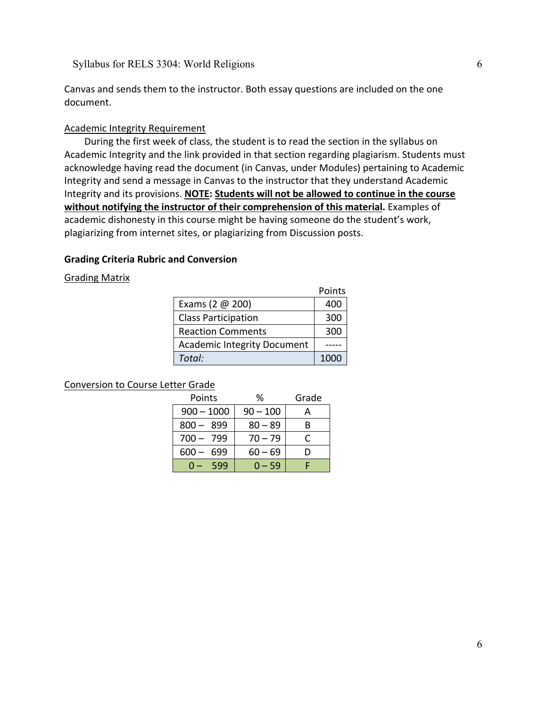Canvas and sends them to the instructor. Both essay questions are included on the one document.

### Academic Integrity Requirement

During the first week of class, the student is to read the section in the syllabus on Academic Integrity and the link provided in that section regarding plagiarism. Students must acknowledge having read the document (in Canvas, under Modules) pertaining to Academic Integrity and send a message in Canvas to the instructor that they understand Academic Integrity and its provisions. **NOTE: Students will not be allowed to continue in the course without notifying the instructor of their comprehension of this material.** Examples of academic dishonesty in this course might be having someone do the student's work, plagiarizing from internet sites, or plagiarizing from Discussion posts.

### **Grading Criteria Rubric and Conversion**

Grading Matrix

|                                    | Points |
|------------------------------------|--------|
| Exams (2 $@$ 200)                  | 400    |
| <b>Class Participation</b>         | 300    |
| <b>Reaction Comments</b>           | 300    |
| <b>Academic Integrity Document</b> |        |
| Total:                             | 1000   |

### Conversion to Course Letter Grade

| Points           | ℅          | Grade |
|------------------|------------|-------|
| $900 - 1000$     | $90 - 100$ |       |
| - 899<br>$800 -$ | $80 - 89$  | В     |
| 700 - 799        | $70 - 79$  |       |
| 699<br>600       | $60 - 69$  |       |
| 599              | $0 - 59$   |       |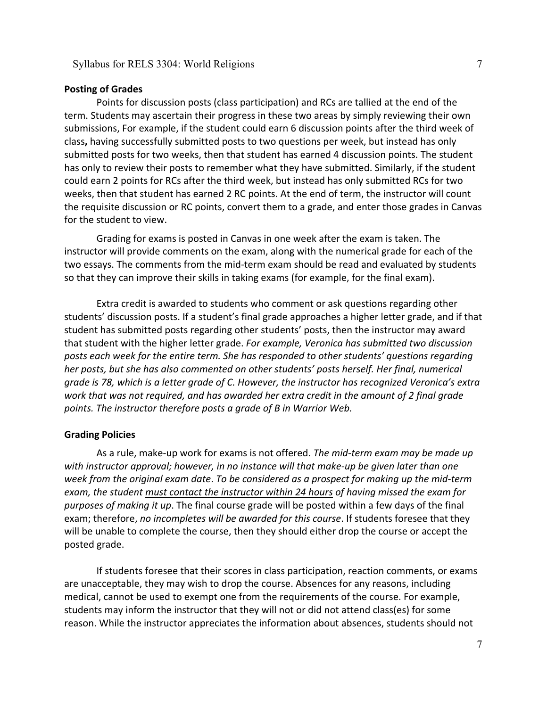#### **Posting of Grades**

Points for discussion posts (class participation) and RCs are tallied at the end of the term. Students may ascertain their progress in these two areas by simply reviewing their own submissions, For example, if the student could earn 6 discussion points after the third week of class**,** having successfully submitted posts to two questions per week, but instead has only submitted posts for two weeks, then that student has earned 4 discussion points. The student has only to review their posts to remember what they have submitted. Similarly, if the student could earn 2 points for RCs after the third week, but instead has only submitted RCs for two weeks, then that student has earned 2 RC points. At the end of term, the instructor will count the requisite discussion or RC points, convert them to a grade, and enter those grades in Canvas for the student to view.

Grading for exams is posted in Canvas in one week after the exam is taken. The instructor will provide comments on the exam, along with the numerical grade for each of the two essays. The comments from the mid-term exam should be read and evaluated by students so that they can improve their skills in taking exams (for example, for the final exam).

Extra credit is awarded to students who comment or ask questions regarding other students' discussion posts. If a student's final grade approaches a higher letter grade, and if that student has submitted posts regarding other students' posts, then the instructor may award that student with the higher letter grade. *For example, Veronica has submitted two discussion posts each week for the entire term. She has responded to other students' questions regarding her posts, but she has also commented on other students' posts herself. Her final, numerical grade is 78, which is a letter grade of C. However, the instructor has recognized Veronica's extra work that was not required, and has awarded her extra credit in the amount of 2 final grade points. The instructor therefore posts a grade of B in Warrior Web.*

#### **Grading Policies**

As a rule, make-up work for exams is not offered. *The mid-term exam may be made up with instructor approval; however, in no instance will that make-up be given later than one week from the original exam date*. *To be considered as a prospect for making up the mid-term exam, the student must contact the instructor within 24 hours of having missed the exam for purposes of making it up*. The final course grade will be posted within a few days of the final exam; therefore, *no incompletes will be awarded for this course*. If students foresee that they will be unable to complete the course, then they should either drop the course or accept the posted grade.

If students foresee that their scores in class participation, reaction comments, or exams are unacceptable, they may wish to drop the course. Absences for any reasons, including medical, cannot be used to exempt one from the requirements of the course. For example, students may inform the instructor that they will not or did not attend class(es) for some reason. While the instructor appreciates the information about absences, students should not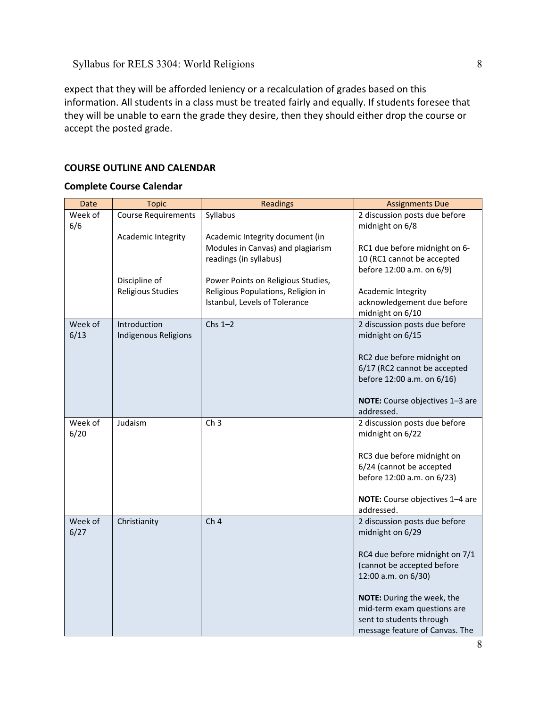expect that they will be afforded leniency or a recalculation of grades based on this information. All students in a class must be treated fairly and equally. If students foresee that they will be unable to earn the grade they desire, then they should either drop the course or accept the posted grade.

## **COURSE OUTLINE AND CALENDAR**

## **Complete Course Calendar**

| Date    | <b>Topic</b>               | <b>Readings</b>                    | <b>Assignments Due</b>                                     |
|---------|----------------------------|------------------------------------|------------------------------------------------------------|
| Week of | <b>Course Requirements</b> | Syllabus                           | 2 discussion posts due before                              |
| 6/6     |                            |                                    | midnight on 6/8                                            |
|         | Academic Integrity         | Academic Integrity document (in    |                                                            |
|         |                            | Modules in Canvas) and plagiarism  | RC1 due before midnight on 6-                              |
|         |                            | readings (in syllabus)             | 10 (RC1 cannot be accepted<br>before 12:00 a.m. on 6/9)    |
|         | Discipline of              | Power Points on Religious Studies, |                                                            |
|         | <b>Religious Studies</b>   | Religious Populations, Religion in | Academic Integrity                                         |
|         |                            | Istanbul, Levels of Tolerance      | acknowledgement due before                                 |
|         |                            |                                    | midnight on 6/10                                           |
| Week of | Introduction               | $Chs 1-2$                          | 2 discussion posts due before                              |
| 6/13    | Indigenous Religions       |                                    | midnight on 6/15                                           |
|         |                            |                                    |                                                            |
|         |                            |                                    | RC2 due before midnight on                                 |
|         |                            |                                    | 6/17 (RC2 cannot be accepted<br>before 12:00 a.m. on 6/16) |
|         |                            |                                    |                                                            |
|         |                            |                                    | NOTE: Course objectives 1-3 are                            |
|         |                            |                                    | addressed.                                                 |
| Week of | Judaism                    | Ch <sub>3</sub>                    | 2 discussion posts due before                              |
| 6/20    |                            |                                    | midnight on 6/22                                           |
|         |                            |                                    |                                                            |
|         |                            |                                    | RC3 due before midnight on                                 |
|         |                            |                                    | 6/24 (cannot be accepted                                   |
|         |                            |                                    | before 12:00 a.m. on 6/23)                                 |
|         |                            |                                    | NOTE: Course objectives 1-4 are                            |
|         |                            |                                    | addressed.                                                 |
| Week of | Christianity               | Ch <sub>4</sub>                    | 2 discussion posts due before                              |
| 6/27    |                            |                                    | midnight on 6/29                                           |
|         |                            |                                    |                                                            |
|         |                            |                                    | RC4 due before midnight on 7/1                             |
|         |                            |                                    | (cannot be accepted before                                 |
|         |                            |                                    | 12:00 a.m. on 6/30)                                        |
|         |                            |                                    | NOTE: During the week, the                                 |
|         |                            |                                    | mid-term exam questions are                                |
|         |                            |                                    | sent to students through                                   |
|         |                            |                                    | message feature of Canvas. The                             |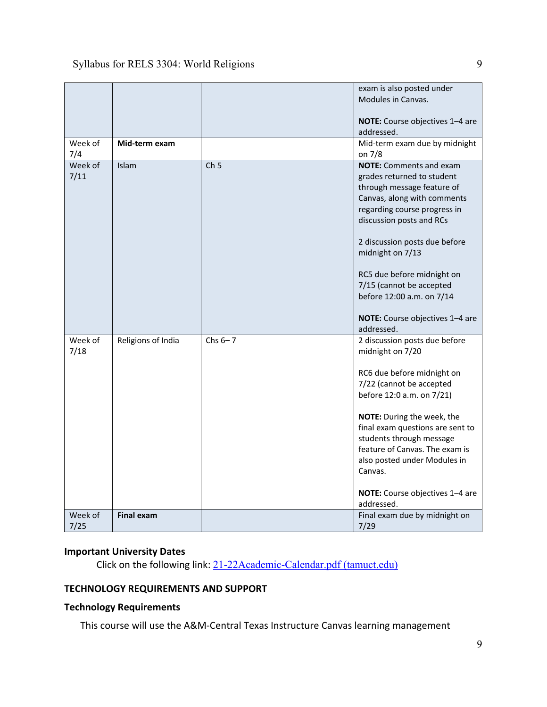|                 |                    |                 | exam is also posted under<br>Modules in Canvas.<br>NOTE: Course objectives 1-4 are<br>addressed.                                                                                                                                                                                                                                                                     |
|-----------------|--------------------|-----------------|----------------------------------------------------------------------------------------------------------------------------------------------------------------------------------------------------------------------------------------------------------------------------------------------------------------------------------------------------------------------|
| Week of<br>7/4  | Mid-term exam      |                 | Mid-term exam due by midnight<br>on 7/8                                                                                                                                                                                                                                                                                                                              |
| Week of<br>7/11 | Islam              | Ch <sub>5</sub> | <b>NOTE:</b> Comments and exam<br>grades returned to student<br>through message feature of<br>Canvas, along with comments<br>regarding course progress in<br>discussion posts and RCs<br>2 discussion posts due before<br>midnight on 7/13<br>RC5 due before midnight on<br>7/15 (cannot be accepted<br>before 12:00 a.m. on 7/14<br>NOTE: Course objectives 1-4 are |
|                 |                    |                 | addressed.                                                                                                                                                                                                                                                                                                                                                           |
| Week of<br>7/18 | Religions of India | Chs $6-7$       | 2 discussion posts due before<br>midnight on 7/20<br>RC6 due before midnight on<br>7/22 (cannot be accepted<br>before 12:0 a.m. on 7/21)<br>NOTE: During the week, the<br>final exam questions are sent to<br>students through message<br>feature of Canvas. The exam is<br>also posted under Modules in<br>Canvas.<br>NOTE: Course objectives 1-4 are<br>addressed. |
| Week of<br>7/25 | <b>Final exam</b>  |                 | Final exam due by midnight on<br>7/29                                                                                                                                                                                                                                                                                                                                |

# **Important University Dates**

Click on the following link: [21-22Academic-Calendar.pdf \(tamuct.edu\)](https://www.tamuct.edu/registrar/docs/21-22Academic-Calendar.pdf)

## **TECHNOLOGY REQUIREMENTS AND SUPPORT**

## **Technology Requirements**

This course will use the A&M-Central Texas Instructure Canvas learning management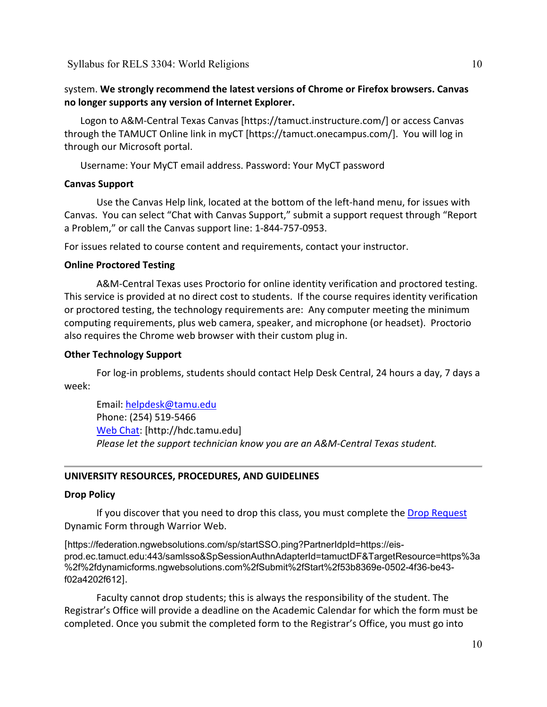## system. **We strongly recommend the latest versions of Chrome or Firefox browsers. Canvas no longer supports any version of Internet Explorer.**

Logon to A&M-Central Texas Canvas [https://tamuct.instructure.com/] or access Canvas through the TAMUCT Online link in myCT [https://tamuct.onecampus.com/]. You will log in through our Microsoft portal.

Username: Your MyCT email address. Password: Your MyCT password

### **Canvas Support**

Use the Canvas Help link, located at the bottom of the left-hand menu, for issues with Canvas. You can select "Chat with Canvas Support," submit a support request through "Report a Problem," or call the Canvas support line: 1-844-757-0953.

For issues related to course content and requirements, contact your instructor.

### **Online Proctored Testing**

A&M-Central Texas uses Proctorio for online identity verification and proctored testing. This service is provided at no direct cost to students. If the course requires identity verification or proctored testing, the technology requirements are: Any computer meeting the minimum computing requirements, plus web camera, speaker, and microphone (or headset). Proctorio also requires the Chrome web browser with their custom plug in.

### **Other Technology Support**

For log-in problems, students should contact Help Desk Central, 24 hours a day, 7 days a week:

Email: [helpdesk@tamu.edu](mailto:helpdesk@tamu.edu) Phone: (254) 519-5466 [Web Chat:](http://hdc.tamu.edu/) [http://hdc.tamu.edu] *Please let the support technician know you are an A&M-Central Texas student.*

## **UNIVERSITY RESOURCES, PROCEDURES, AND GUIDELINES**

### **Drop Policy**

If you discover that you need to drop this class, you must complete the [Drop Request](https://federation.ngwebsolutions.com/sp/startSSO.ping?PartnerIdpId=https://eis-prod.ec.tamuct.edu:443/samlsso&SpSessionAuthnAdapterId=tamuctDF&TargetResource=https%3a%2f%2fdynamicforms.ngwebsolutions.com%2fSubmit%2fStart%2f53b8369e-0502-4f36-be43-f02a4202f612) Dynamic Form through Warrior Web.

[https://federation.ngwebsolutions.com/sp/startSSO.ping?PartnerIdpId=https://eisprod.ec.tamuct.edu:443/samlsso&SpSessionAuthnAdapterId=tamuctDF&TargetResource=https%3a %2f%2fdynamicforms.ngwebsolutions.com%2fSubmit%2fStart%2f53b8369e-0502-4f36-be43 f02a4202f612].

Faculty cannot drop students; this is always the responsibility of the student. The Registrar's Office will provide a deadline on the Academic Calendar for which the form must be completed. Once you submit the completed form to the Registrar's Office, you must go into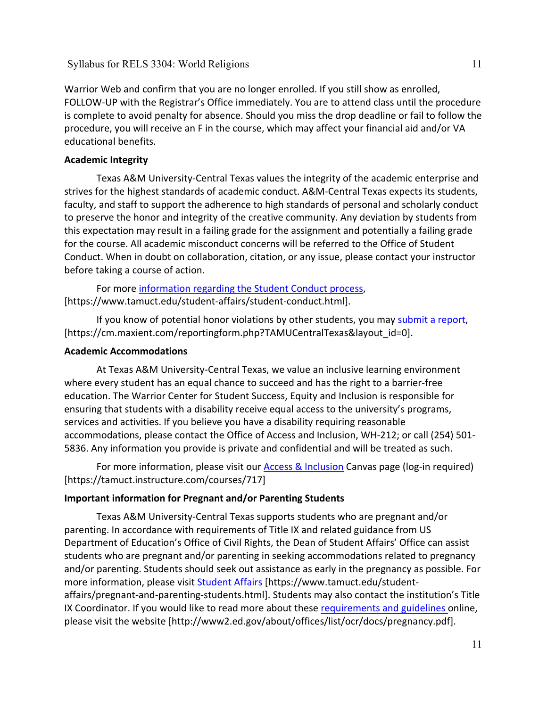Warrior Web and confirm that you are no longer enrolled. If you still show as enrolled, FOLLOW-UP with the Registrar's Office immediately. You are to attend class until the procedure is complete to avoid penalty for absence. Should you miss the drop deadline or fail to follow the procedure, you will receive an F in the course, which may affect your financial aid and/or VA educational benefits.

# **Academic Integrity**

Texas A&M University-Central Texas values the integrity of the academic enterprise and strives for the highest standards of academic conduct. A&M-Central Texas expects its students, faculty, and staff to support the adherence to high standards of personal and scholarly conduct to preserve the honor and integrity of the creative community. Any deviation by students from this expectation may result in a failing grade for the assignment and potentially a failing grade for the course. All academic misconduct concerns will be referred to the Office of Student Conduct. When in doubt on collaboration, citation, or any issue, please contact your instructor before taking a course of action.

For more [information](https://nam04.safelinks.protection.outlook.com/?url=https%3A%2F%2Fwww.tamuct.edu%2Fstudent-affairs%2Fstudent-conduct.html&data=04%7C01%7Clisa.bunkowski%40tamuct.edu%7Ccfb6e486f24745f53e1a08d910055cb2%7C9eed4e3000f744849ff193ad8005acec%7C0%7C0%7C637558437485252160%7CUnknown%7CTWFpbGZsb3d8eyJWIjoiMC4wLjAwMDAiLCJQIjoiV2luMzIiLCJBTiI6Ik1haWwiLCJXVCI6Mn0%3D%7C1000&sdata=yjftDEVHvLX%2FhM%2FcFU0B99krV1RgEWR%2BJ%2BhvtoR6TYk%3D&reserved=0) regarding the Student Conduct process, [https://www.tamuct.edu/student-affairs/student-conduct.html].

If you know of potential honor violations by other students, you may [submit](https://nam04.safelinks.protection.outlook.com/?url=https%3A%2F%2Fcm.maxient.com%2Freportingform.php%3FTAMUCentralTexas%26layout_id%3D0&data=04%7C01%7Clisa.bunkowski%40tamuct.edu%7Ccfb6e486f24745f53e1a08d910055cb2%7C9eed4e3000f744849ff193ad8005acec%7C0%7C0%7C637558437485262157%7CUnknown%7CTWFpbGZsb3d8eyJWIjoiMC4wLjAwMDAiLCJQIjoiV2luMzIiLCJBTiI6Ik1haWwiLCJXVCI6Mn0%3D%7C1000&sdata=CXGkOa6uPDPX1IMZ87z3aZDq2n91xfHKu4MMS43Ejjk%3D&reserved=0) a report, [https://cm.maxient.com/reportingform.php?TAMUCentralTexas&layout\_id=0].

# **Academic Accommodations**

At Texas A&M University-Central Texas, we value an inclusive learning environment where every student has an equal chance to succeed and has the right to a barrier-free education. The Warrior Center for Student Success, Equity and Inclusion is responsible for ensuring that students with a disability receive equal access to the university's programs, services and activities. If you believe you have a disability requiring reasonable accommodations, please contact the Office of Access and Inclusion, WH-212; or call (254) 501- 5836. Any information you provide is private and confidential and will be treated as such.

For more information, please visit our [Access & Inclusion](https://tamuct.instructure.com/courses/717) Canvas page (log-in required) [https://tamuct.instructure.com/courses/717]

# **Important information for Pregnant and/or Parenting Students**

Texas A&M University-Central Texas supports students who are pregnant and/or parenting. In accordance with requirements of Title IX and related guidance from US Department of Education's Office of Civil Rights, the Dean of Student Affairs' Office can assist students who are pregnant and/or parenting in seeking accommodations related to pregnancy and/or parenting. Students should seek out assistance as early in the pregnancy as possible. For more information, please visit **[Student Affairs](https://www.tamuct.edu/student-affairs/pregnant-and-parenting-students.html)** [https://www.tamuct.edu/studentaffairs/pregnant-and-parenting-students.html]. Students may also contact the institution's Title IX Coordinator. If you would like to read more about these [requirements and guidelines](http://www2.ed.gov/about/offices/list/ocr/docs/pregnancy.pdf) online, please visit the website [http://www2.ed.gov/about/offices/list/ocr/docs/pregnancy.pdf].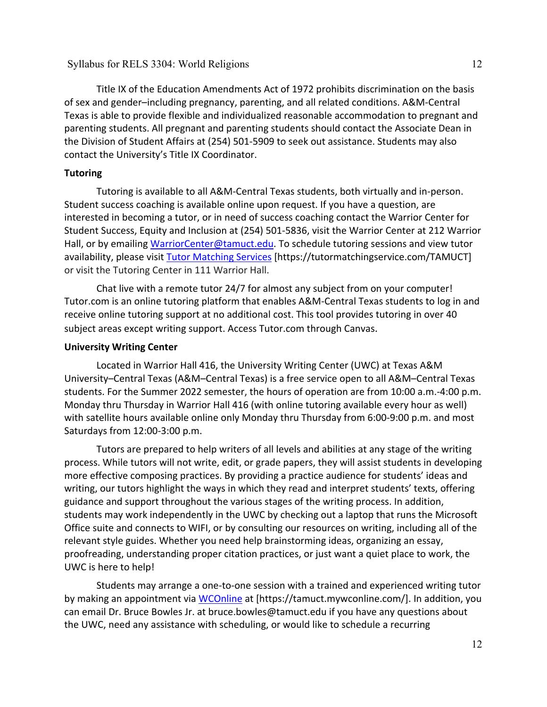Title IX of the Education Amendments Act of 1972 prohibits discrimination on the basis of sex and gender–including pregnancy, parenting, and all related conditions. A&M-Central Texas is able to provide flexible and individualized reasonable accommodation to pregnant and parenting students. All pregnant and parenting students should contact the Associate Dean in the Division of Student Affairs at (254) 501-5909 to seek out assistance. Students may also contact the University's Title IX Coordinator.

### **Tutoring**

Tutoring is available to all A&M-Central Texas students, both virtually and in-person. Student success coaching is available online upon request. If you have a question, are interested in becoming a tutor, or in need of success coaching contact the Warrior Center for Student Success, Equity and Inclusion at (254) 501-5836, visit the Warrior Center at 212 Warrior Hall, or by emailing [WarriorCenter@tamuct.edu.](mailto:WarriorCenter@tamuct.edu) To schedule tutoring sessions and view tutor availability, please visit Tutor [Matching](https://tutormatchingservice.com/TAMUCT) Services [https://tutormatchingservice.com/TAMUCT] or visit the Tutoring Center in 111 Warrior Hall.

Chat live with a remote tutor 24/7 for almost any subject from on your computer! Tutor.com is an online tutoring platform that enables A&M-Central Texas students to log in and receive online tutoring support at no additional cost. This tool provides tutoring in over 40 subject areas except writing support. Access Tutor.com through Canvas.

#### **University Writing Center**

Located in Warrior Hall 416, the University Writing Center (UWC) at Texas A&M University–Central Texas (A&M–Central Texas) is a free service open to all A&M–Central Texas students. For the Summer 2022 semester, the hours of operation are from 10:00 a.m.-4:00 p.m. Monday thru Thursday in Warrior Hall 416 (with online tutoring available every hour as well) with satellite hours available online only Monday thru Thursday from 6:00-9:00 p.m. and most Saturdays from 12:00-3:00 p.m.

Tutors are prepared to help writers of all levels and abilities at any stage of the writing process. While tutors will not write, edit, or grade papers, they will assist students in developing more effective composing practices. By providing a practice audience for students' ideas and writing, our tutors highlight the ways in which they read and interpret students' texts, offering guidance and support throughout the various stages of the writing process. In addition, students may work independently in the UWC by checking out a laptop that runs the Microsoft Office suite and connects to WIFI, or by consulting our resources on writing, including all of the relevant style guides. Whether you need help brainstorming ideas, organizing an essay, proofreading, understanding proper citation practices, or just want a quiet place to work, the UWC is here to help!

Students may arrange a one-to-one session with a trained and experienced writing tutor by making an appointment via [WCOnline](https://tamuct.mywconline.com/) at [https://tamuct.mywconline.com/]. In addition, you can email Dr. Bruce Bowles Jr. at bruce.bowles@tamuct.edu if you have any questions about the UWC, need any assistance with scheduling, or would like to schedule a recurring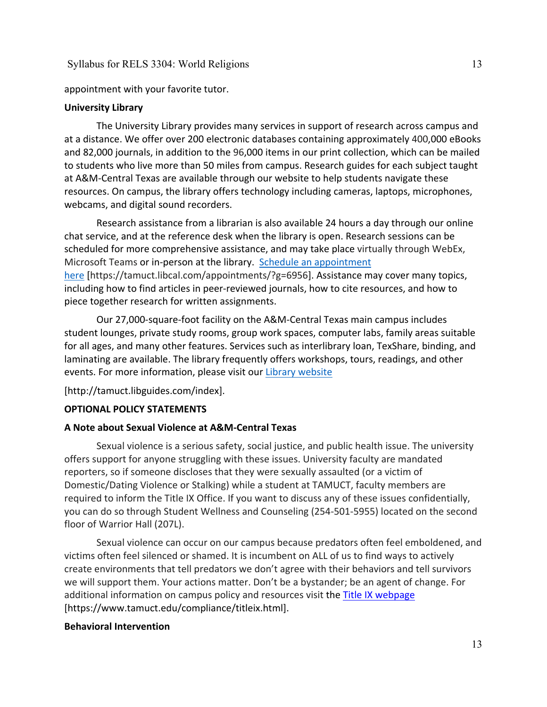appointment with your favorite tutor.

### **University Library**

The University Library provides many services in support of research across campus and at a distance. We offer over 200 electronic databases containing approximately 400,000 eBooks and 82,000 journals, in addition to the 96,000 items in our print collection, which can be mailed to students who live more than 50 miles from campus. Research guides for each subject taught at A&M-Central Texas are available through our website to help students navigate these resources. On campus, the library offers technology including cameras, laptops, microphones, webcams, and digital sound recorders.

Research assistance from a librarian is also available 24 hours a day through our online chat service, and at the reference desk when the library is open. Research sessions can be scheduled for more comprehensive assistance, and may take place virtually through WebEx, Microsoft Teams or in-person at the library. Schedule an [appointment](https://nam04.safelinks.protection.outlook.com/?url=https%3A%2F%2Ftamuct.libcal.com%2Fappointments%2F%3Fg%3D6956&data=04%7C01%7Clisa.bunkowski%40tamuct.edu%7Cde2c07d9f5804f09518008d9ab7ba6ff%7C9eed4e3000f744849ff193ad8005acec%7C0%7C0%7C637729369835011558%7CUnknown%7CTWFpbGZsb3d8eyJWIjoiMC4wLjAwMDAiLCJQIjoiV2luMzIiLCJBTiI6Ik1haWwiLCJXVCI6Mn0%3D%7C3000&sdata=KhtjgRSAw9aq%2FoBsB6wyu8b7PSuGN5EGPypzr3Ty2No%3D&reserved=0) [here](https://nam04.safelinks.protection.outlook.com/?url=https%3A%2F%2Ftamuct.libcal.com%2Fappointments%2F%3Fg%3D6956&data=04%7C01%7Clisa.bunkowski%40tamuct.edu%7Cde2c07d9f5804f09518008d9ab7ba6ff%7C9eed4e3000f744849ff193ad8005acec%7C0%7C0%7C637729369835011558%7CUnknown%7CTWFpbGZsb3d8eyJWIjoiMC4wLjAwMDAiLCJQIjoiV2luMzIiLCJBTiI6Ik1haWwiLCJXVCI6Mn0%3D%7C3000&sdata=KhtjgRSAw9aq%2FoBsB6wyu8b7PSuGN5EGPypzr3Ty2No%3D&reserved=0) [https://tamuct.libcal.com/appointments/?g=6956]. Assistance may cover many topics, including how to find articles in peer-reviewed journals, how to cite resources, and how to piece together research for written assignments.

Our 27,000-square-foot facility on the A&M-Central Texas main campus includes student lounges, private study rooms, group work spaces, computer labs, family areas suitable for all ages, and many other features. Services such as interlibrary loan, TexShare, binding, and laminating are available. The library frequently offers workshops, tours, readings, and other events. For more information, please visit our Library [website](https://nam04.safelinks.protection.outlook.com/?url=https%3A%2F%2Ftamuct.libguides.com%2Findex&data=04%7C01%7Clisa.bunkowski%40tamuct.edu%7C7d8489e8839a4915335f08d916f067f2%7C9eed4e3000f744849ff193ad8005acec%7C0%7C0%7C637566044056484222%7CUnknown%7CTWFpbGZsb3d8eyJWIjoiMC4wLjAwMDAiLCJQIjoiV2luMzIiLCJBTiI6Ik1haWwiLCJXVCI6Mn0%3D%7C1000&sdata=2R755V6rcIyedGrd4Os5rkgn1PvhHKU3kUV1vBKiHFo%3D&reserved=0)

[http://tamuct.libguides.com/index].

### **OPTIONAL POLICY STATEMENTS**

### **A Note about Sexual Violence at A&M-Central Texas**

Sexual violence is a serious safety, social justice, and public health issue. The university offers support for anyone struggling with these issues. University faculty are mandated reporters, so if someone discloses that they were sexually assaulted (or a victim of Domestic/Dating Violence or Stalking) while a student at TAMUCT, faculty members are required to inform the Title IX Office. If you want to discuss any of these issues confidentially, you can do so through Student Wellness and Counseling (254-501-5955) located on the second floor of Warrior Hall (207L).

Sexual violence can occur on our campus because predators often feel emboldened, and victims often feel silenced or shamed. It is incumbent on ALL of us to find ways to actively create environments that tell predators we don't agree with their behaviors and tell survivors we will support them. Your actions matter. Don't be a bystander; be an agent of change. For additional information on campus policy and resources visit the [Title IX webpage](https://www.tamuct.edu/compliance/titleix.html) [\[https://www.tamuct.edu/compliance/titleix.html\]](https://www.tamuct.edu/compliance/titleix.html).

#### **Behavioral Intervention**